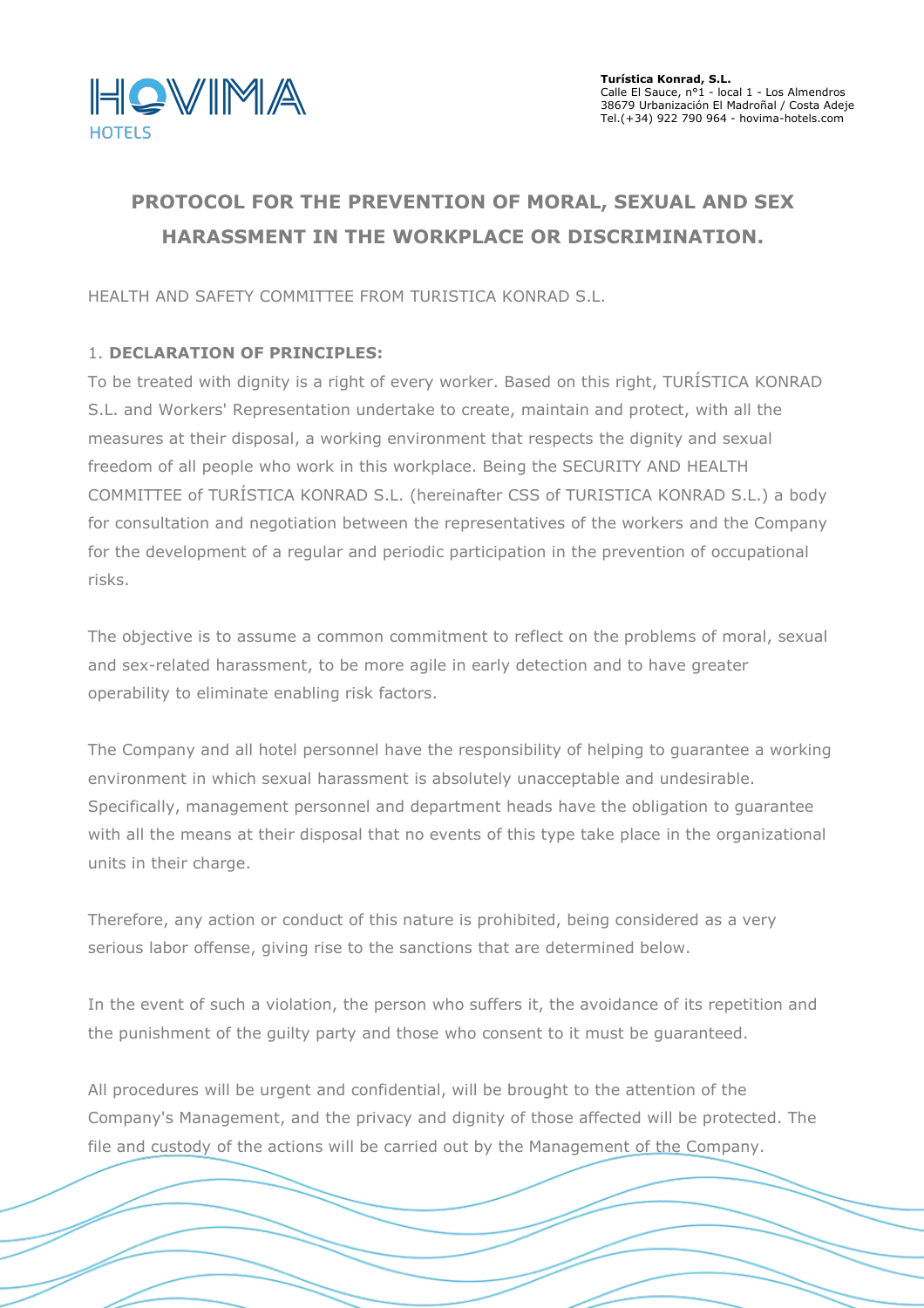

# **PROTOCOL FOR THE PREVENTION OF MORAL, SEXUAL AND SEX HARASSMENT IN THE WORKPLACE OR DISCRIMINATION.**

HEALTH AND SAFETY COMMITTEE FROM TURISTICA KONRAD S.L.

## 1. **DECLARATION OF PRINCIPLES:**

To be treated with dignity is a right of every worker. Based on this right, TURÍSTICA KONRAD S.L. and Workers' Representation undertake to create, maintain and protect, with all the measures at their disposal, a working environment that respects the dignity and sexual freedom of all people who work in this workplace. Being the SECURITY AND HEALTH COMMITTEE of TURÍSTICA KONRAD S.L. (hereinafter CSS of TURISTICA KONRAD S.L.) a body for consultation and negotiation between the representatives of the workers and the Company for the development of a regular and periodic participation in the prevention of occupational risks.

The objective is to assume a common commitment to reflect on the problems of moral, sexual and sex-related harassment, to be more agile in early detection and to have greater operability to eliminate enabling risk factors.

The Company and all hotel personnel have the responsibility of helping to guarantee a working environment in which sexual harassment is absolutely unacceptable and undesirable. Specifically, management personnel and department heads have the obligation to guarantee with all the means at their disposal that no events of this type take place in the organizational units in their charge.

Therefore, any action or conduct of this nature is prohibited, being considered as a very serious labor offense, giving rise to the sanctions that are determined below.

In the event of such a violation, the person who suffers it, the avoidance of its repetition and the punishment of the guilty party and those who consent to it must be guaranteed.

All procedures will be urgent and confidential, will be brought to the attention of the Company's Management, and the privacy and dignity of those affected will be protected. The file and custody of the actions will be carried out by the Management of the Company.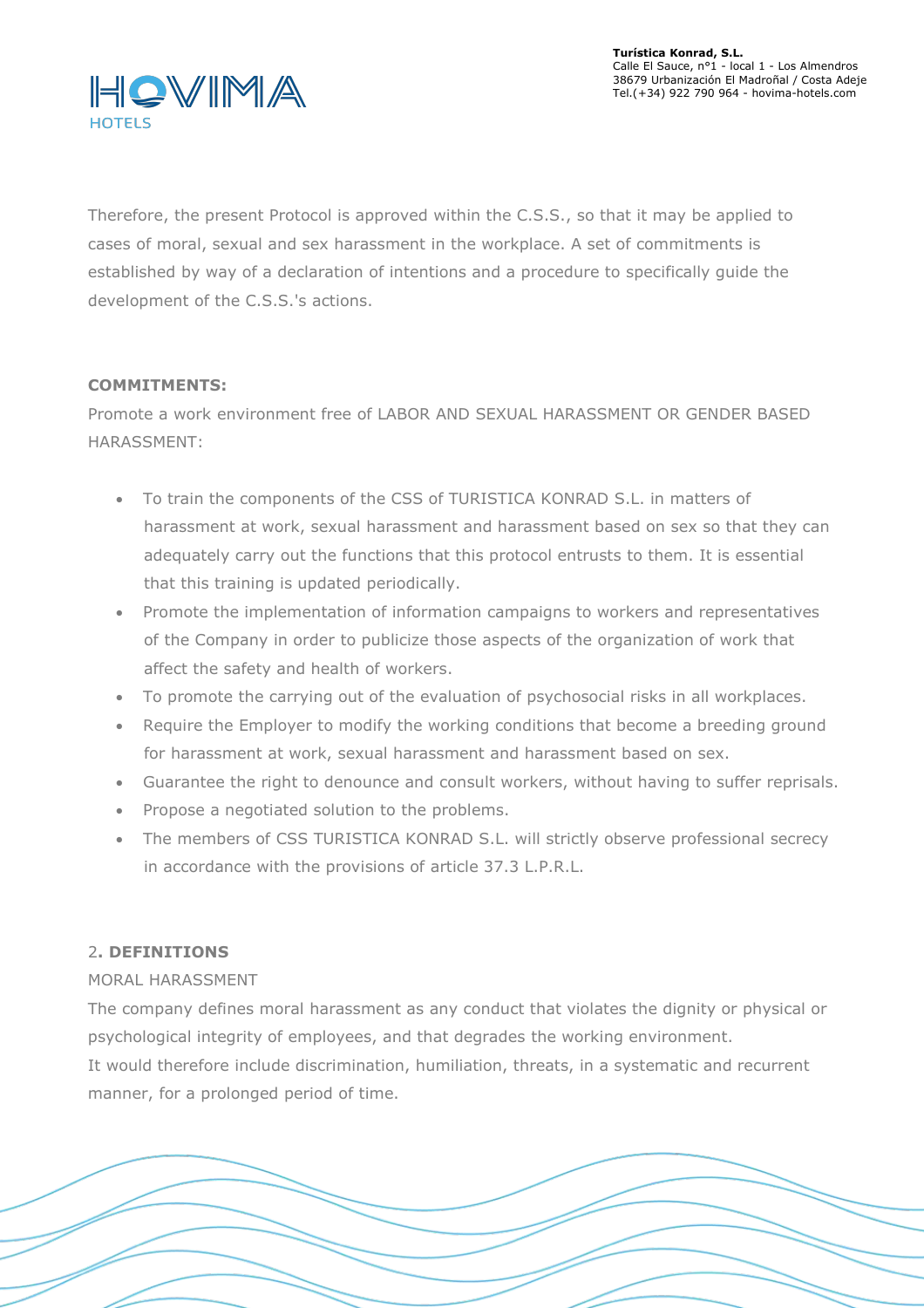

Therefore, the present Protocol is approved within the C.S.S., so that it may be applied to cases of moral, sexual and sex harassment in the workplace. A set of commitments is established by way of a declaration of intentions and a procedure to specifically guide the development of the C.S.S.'s actions.

## **COMMITMENTS:**

Promote a work environment free of LABOR AND SEXUAL HARASSMENT OR GENDER BASED HARASSMENT:

- To train the components of the CSS of TURISTICA KONRAD S.L. in matters of harassment at work, sexual harassment and harassment based on sex so that they can adequately carry out the functions that this protocol entrusts to them. It is essential that this training is updated periodically.
- Promote the implementation of information campaigns to workers and representatives of the Company in order to publicize those aspects of the organization of work that affect the safety and health of workers.
- To promote the carrying out of the evaluation of psychosocial risks in all workplaces.
- Require the Employer to modify the working conditions that become a breeding ground for harassment at work, sexual harassment and harassment based on sex.
- Guarantee the right to denounce and consult workers, without having to suffer reprisals.
- Propose a negotiated solution to the problems.
- The members of CSS TURISTICA KONRAD S.L. will strictly observe professional secrecy in accordance with the provisions of article 37.3 L.P.R.L.

# 2**. DEFINITIONS**

## MORAL HARASSMENT

The company defines moral harassment as any conduct that violates the dignity or physical or psychological integrity of employees, and that degrades the working environment. It would therefore include discrimination, humiliation, threats, in a systematic and recurrent manner, for a prolonged period of time.

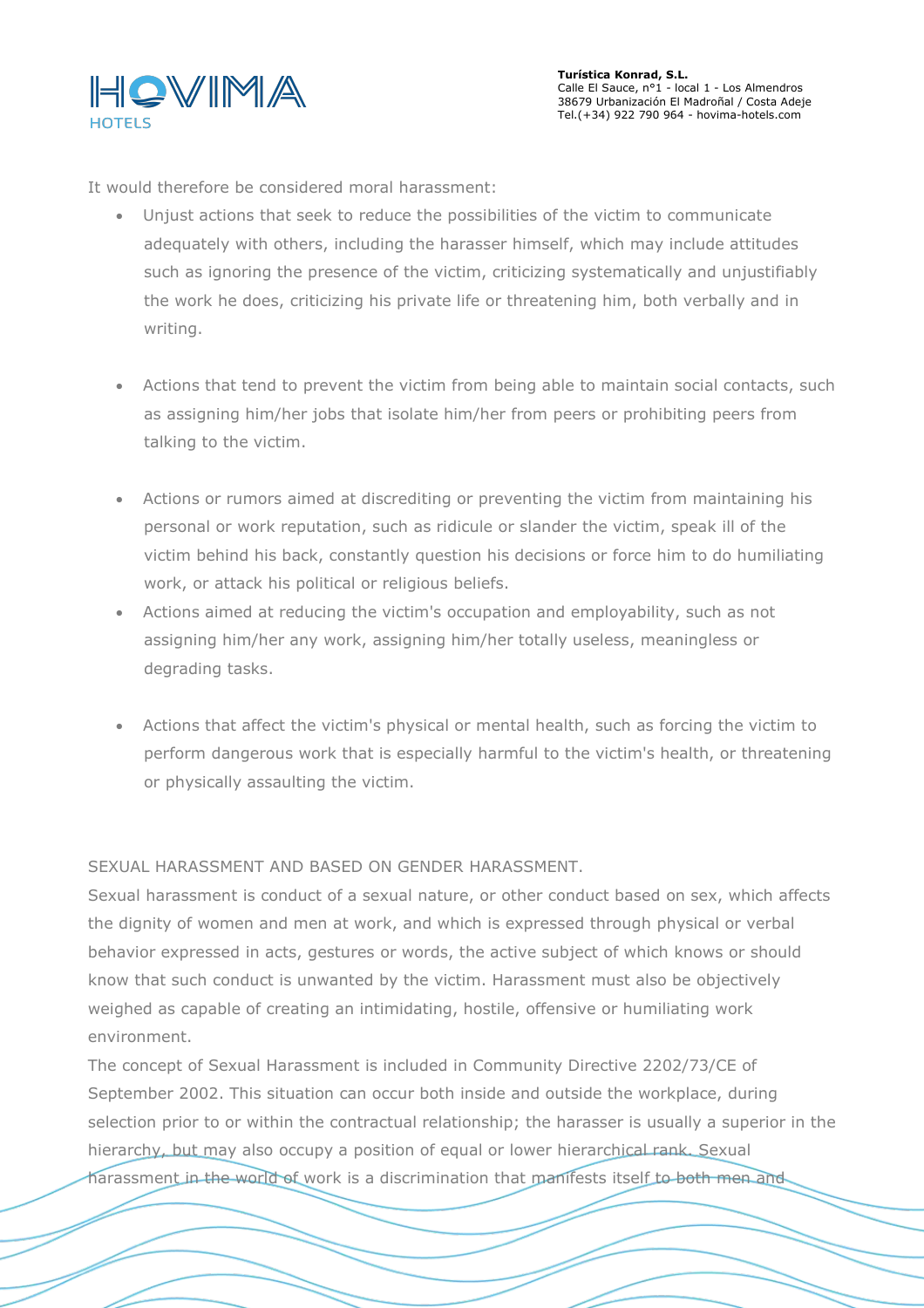

It would therefore be considered moral harassment:

- Unjust actions that seek to reduce the possibilities of the victim to communicate adequately with others, including the harasser himself, which may include attitudes such as ignoring the presence of the victim, criticizing systematically and unjustifiably the work he does, criticizing his private life or threatening him, both verbally and in writing.
- Actions that tend to prevent the victim from being able to maintain social contacts, such as assigning him/her jobs that isolate him/her from peers or prohibiting peers from talking to the victim.
- Actions or rumors aimed at discrediting or preventing the victim from maintaining his personal or work reputation, such as ridicule or slander the victim, speak ill of the victim behind his back, constantly question his decisions or force him to do humiliating work, or attack his political or religious beliefs.
- Actions aimed at reducing the victim's occupation and employability, such as not assigning him/her any work, assigning him/her totally useless, meaningless or degrading tasks.
- Actions that affect the victim's physical or mental health, such as forcing the victim to perform dangerous work that is especially harmful to the victim's health, or threatening or physically assaulting the victim.

SEXUAL HARASSMENT AND BASED ON GENDER HARASSMENT.

Sexual harassment is conduct of a sexual nature, or other conduct based on sex, which affects the dignity of women and men at work, and which is expressed through physical or verbal behavior expressed in acts, gestures or words, the active subject of which knows or should know that such conduct is unwanted by the victim. Harassment must also be objectively weighed as capable of creating an intimidating, hostile, offensive or humiliating work environment.

The concept of Sexual Harassment is included in Community Directive 2202/73/CE of September 2002. This situation can occur both inside and outside the workplace, during selection prior to or within the contractual relationship; the harasser is usually a superior in the hierarchy, but may also occupy a position of equal or lower hierarchical rank. Sexual harassment in the world of work is a discrimination that manifests itself to both men and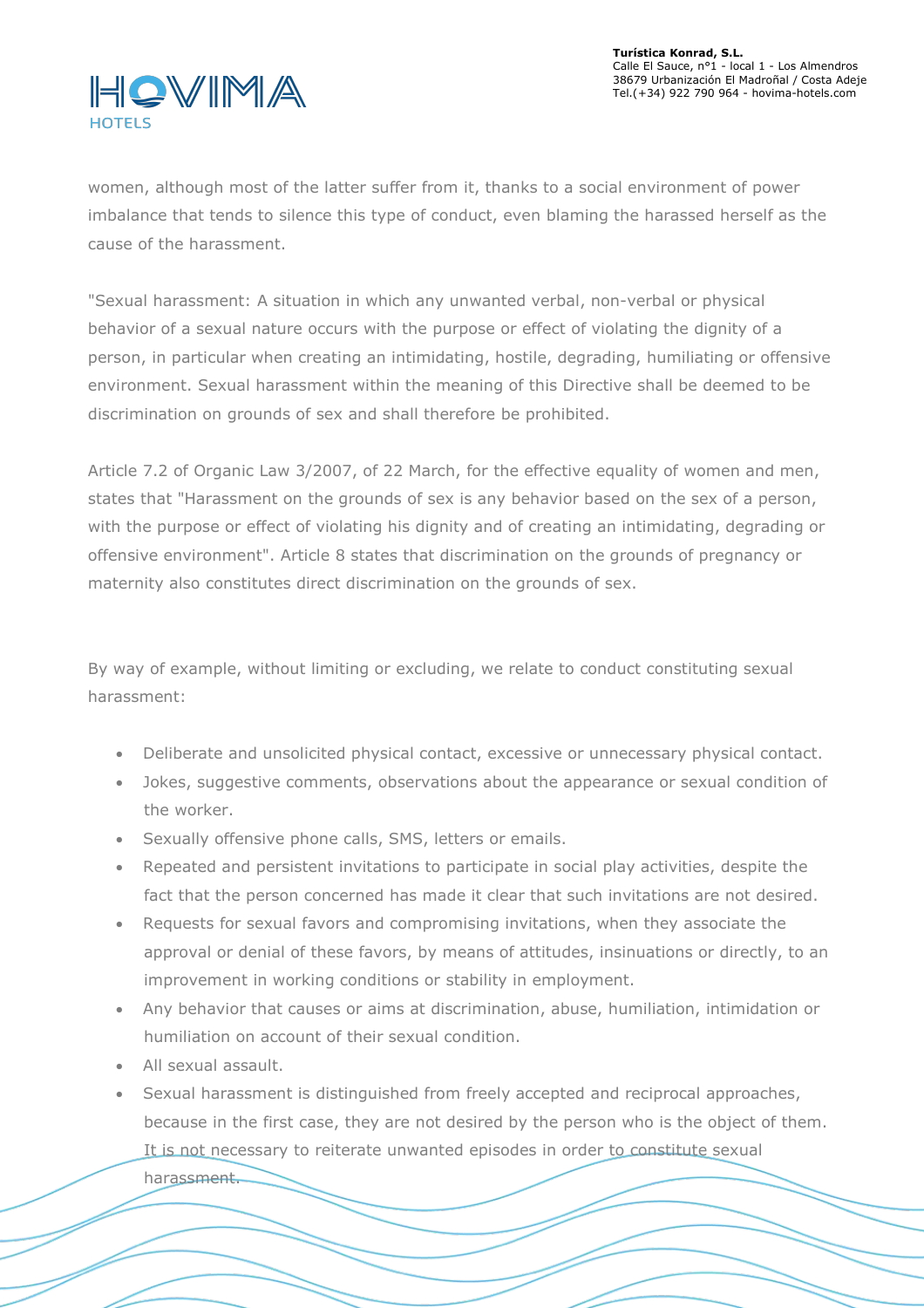

women, although most of the latter suffer from it, thanks to a social environment of power imbalance that tends to silence this type of conduct, even blaming the harassed herself as the cause of the harassment.

"Sexual harassment: A situation in which any unwanted verbal, non-verbal or physical behavior of a sexual nature occurs with the purpose or effect of violating the dignity of a person, in particular when creating an intimidating, hostile, degrading, humiliating or offensive environment. Sexual harassment within the meaning of this Directive shall be deemed to be discrimination on grounds of sex and shall therefore be prohibited.

Article 7.2 of Organic Law 3/2007, of 22 March, for the effective equality of women and men, states that "Harassment on the grounds of sex is any behavior based on the sex of a person, with the purpose or effect of violating his dignity and of creating an intimidating, degrading or offensive environment". Article 8 states that discrimination on the grounds of pregnancy or maternity also constitutes direct discrimination on the grounds of sex.

By way of example, without limiting or excluding, we relate to conduct constituting sexual harassment:

- Deliberate and unsolicited physical contact, excessive or unnecessary physical contact.
- Jokes, suggestive comments, observations about the appearance or sexual condition of the worker.
- Sexually offensive phone calls, SMS, letters or emails.
- Repeated and persistent invitations to participate in social play activities, despite the fact that the person concerned has made it clear that such invitations are not desired.
- Requests for sexual favors and compromising invitations, when they associate the approval or denial of these favors, by means of attitudes, insinuations or directly, to an improvement in working conditions or stability in employment.
- Any behavior that causes or aims at discrimination, abuse, humiliation, intimidation or humiliation on account of their sexual condition.
- All sexual assault.
- Sexual harassment is distinguished from freely accepted and reciprocal approaches, because in the first case, they are not desired by the person who is the object of them. It is not necessary to reiterate unwanted episodes in order to constitute sexual

harassment.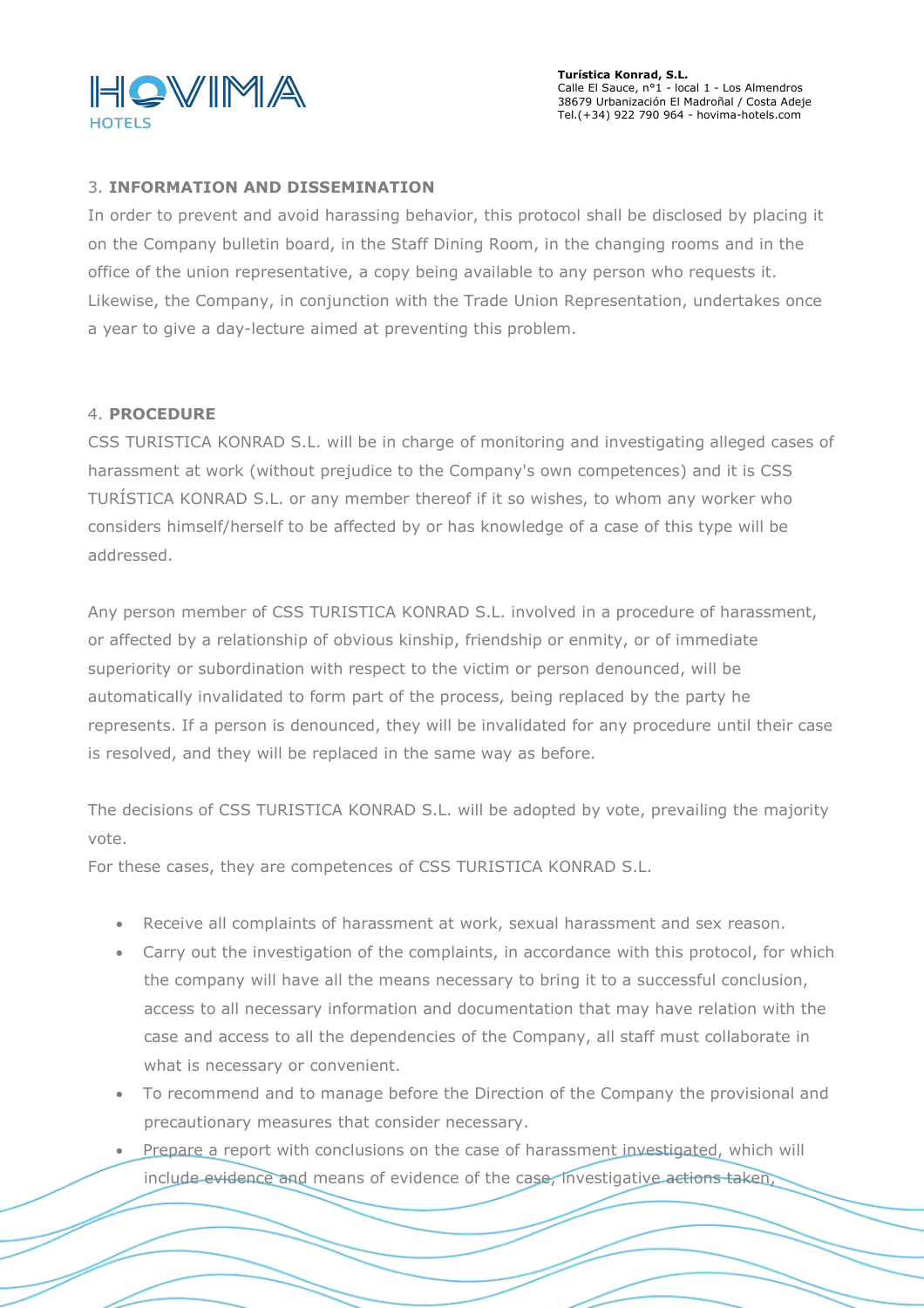

**Turística Konrad, S.L.** Calle El Sauce, n°1 - local 1 - Los Almendros 38679 Urbanización El Madroñal / Costa Adeje Tel.(+34) 922 790 964 - hovima-hotels.com

#### 3. **INFORMATION AND DISSEMINATION**

In order to prevent and avoid harassing behavior, this protocol shall be disclosed by placing it on the Company bulletin board, in the Staff Dining Room, in the changing rooms and in the office of the union representative, a copy being available to any person who requests it. Likewise, the Company, in conjunction with the Trade Union Representation, undertakes once a year to give a day-lecture aimed at preventing this problem.

#### 4. **PROCEDURE**

CSS TURISTICA KONRAD S.L. will be in charge of monitoring and investigating alleged cases of harassment at work (without prejudice to the Company's own competences) and it is CSS TURÍSTICA KONRAD S.L. or any member thereof if it so wishes, to whom any worker who considers himself/herself to be affected by or has knowledge of a case of this type will be addressed.

Any person member of CSS TURISTICA KONRAD S.L. involved in a procedure of harassment, or affected by a relationship of obvious kinship, friendship or enmity, or of immediate superiority or subordination with respect to the victim or person denounced, will be automatically invalidated to form part of the process, being replaced by the party he represents. If a person is denounced, they will be invalidated for any procedure until their case is resolved, and they will be replaced in the same way as before.

The decisions of CSS TURISTICA KONRAD S.L. will be adopted by vote, prevailing the majority vote.

For these cases, they are competences of CSS TURISTICA KONRAD S.L.

- Receive all complaints of harassment at work, sexual harassment and sex reason.
- Carry out the investigation of the complaints, in accordance with this protocol, for which the company will have all the means necessary to bring it to a successful conclusion, access to all necessary information and documentation that may have relation with the case and access to all the dependencies of the Company, all staff must collaborate in what is necessary or convenient.
- To recommend and to manage before the Direction of the Company the provisional and precautionary measures that consider necessary.
- Prepare a report with conclusions on the case of harassment investigated, which will include evidence and means of evidence of the case, investigative actions taken,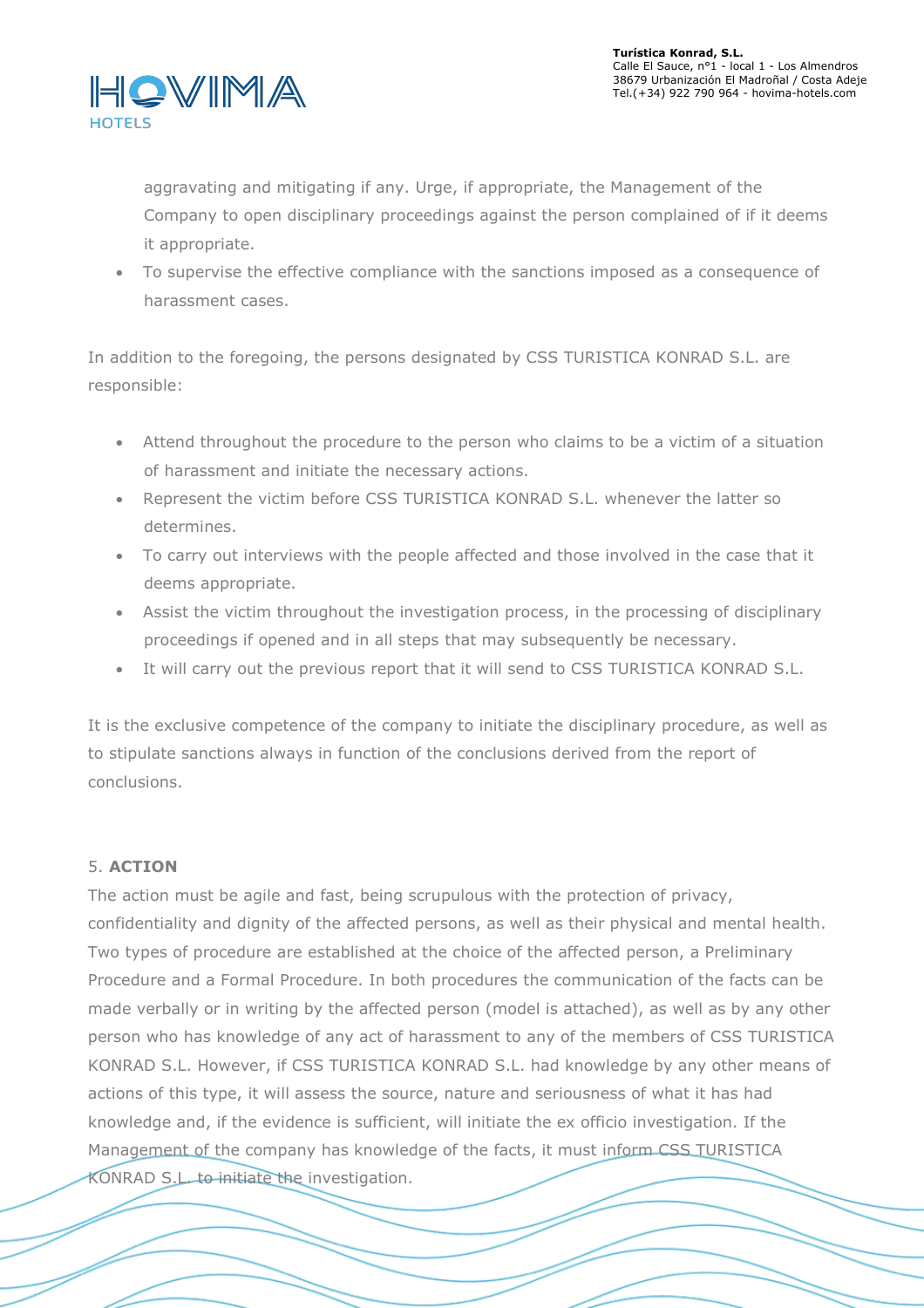

aggravating and mitigating if any. Urge, if appropriate, the Management of the Company to open disciplinary proceedings against the person complained of if it deems it appropriate.

 To supervise the effective compliance with the sanctions imposed as a consequence of harassment cases.

In addition to the foregoing, the persons designated by CSS TURISTICA KONRAD S.L. are responsible:

- Attend throughout the procedure to the person who claims to be a victim of a situation of harassment and initiate the necessary actions.
- Represent the victim before CSS TURISTICA KONRAD S.L. whenever the latter so determines.
- To carry out interviews with the people affected and those involved in the case that it deems appropriate.
- Assist the victim throughout the investigation process, in the processing of disciplinary proceedings if opened and in all steps thatmay subsequently be necessary.
- It will carry out the previous report that it will send to CSS TURISTICA KONRAD S.L.

It is the exclusive competence of the company to initiate the disciplinary procedure, as well as to stipulate sanctions always in function of the conclusions derived from the report of conclusions.

# 5. **ACTION**

The action must be agile and fast, being scrupulous with the protection of privacy, confidentiality and dignity of the affected persons, as well as their physical and mental health. Two types of procedure are established at the choice of the affected person, a Preliminary Procedure and a Formal Procedure. In both procedures the communication of the facts can be made verbally or in writing by the affected person (model is attached), as well as by any other person who has knowledge of any act of harassment to any of the members of CSS TURISTICA KONRAD S.L. However, if CSS TURISTICA KONRAD S.L. had knowledge by any other means of actions of this type, it will assess the source, nature and seriousness of what it has had knowledge and, if the evidence is sufficient, will initiate the ex officio investigation. If the Management of the company has knowledge of the facts, it must inform CSS TURISTICA KONRAD S.L. to initiate the investigation.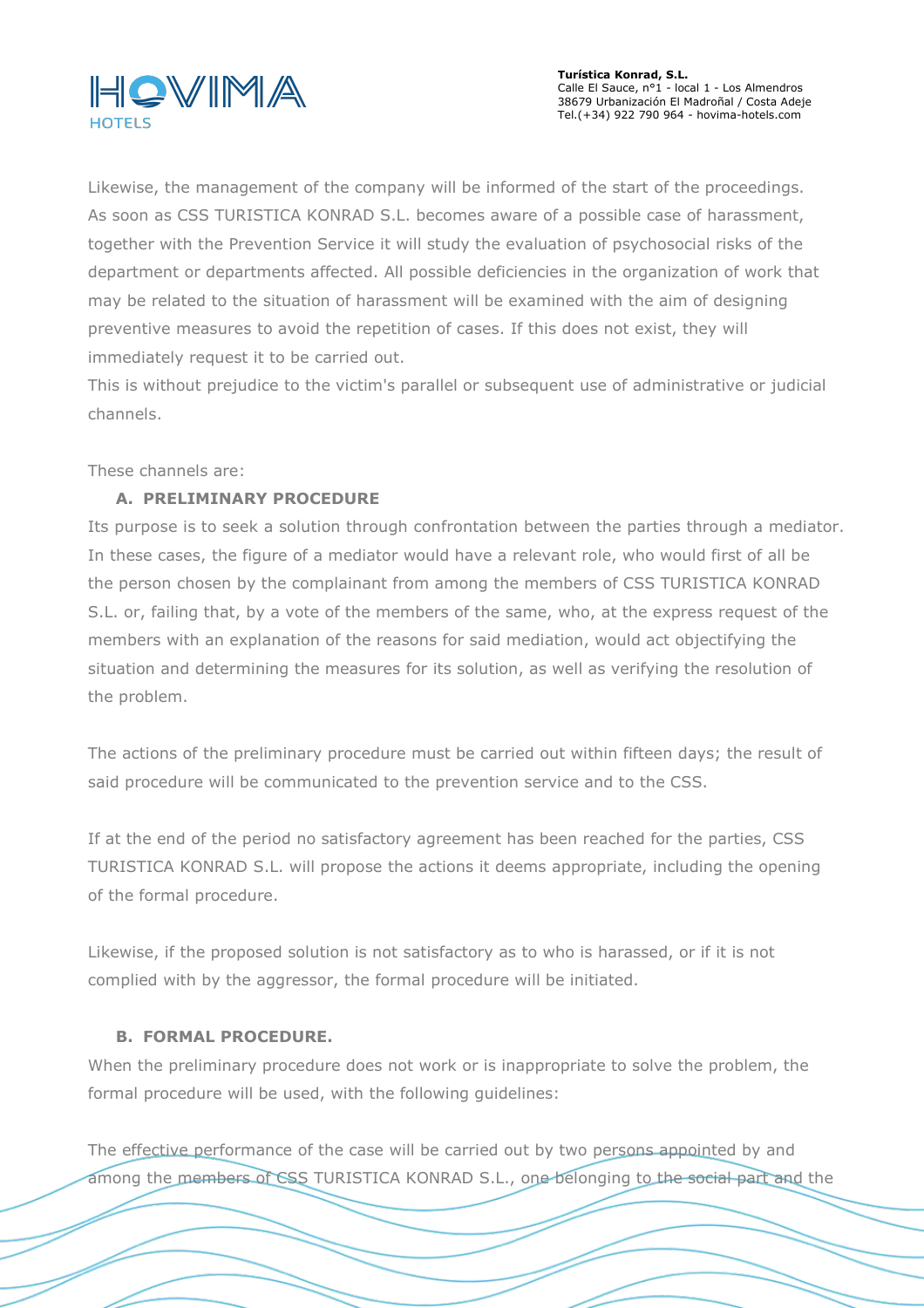

**Turística Konrad, S.L.** Calle El Sauce, n°1 - local 1 - Los Almendros 38679 Urbanización El Madroñal / Costa Adeje Tel.(+34) 922 790 964 - hovima-hotels.com

Likewise, the management of the company will be informed of the start of the proceedings. As soon as CSS TURISTICA KONRAD S.L. becomes aware of a possible case of harassment, together with the Prevention Service it will study the evaluation of psychosocial risks of the department or departments affected. All possible deficiencies in the organization of work that may be related to the situation of harassment will be examined with the aim of designing preventive measures to avoid the repetition of cases. If this does not exist, they will immediately request it to be carried out.

This is without prejudice to the victim's parallel or subsequent use of administrative or judicial channels.

These channels are:

# **A. PRELIMINARY PROCEDURE**

Its purpose is to seek a solution through confrontation between the parties through a mediator. In these cases, the figure of a mediator would have a relevant role, who would first of all be the person chosen by the complainant from among the members of CSS TURISTICA KONRAD S.L. or, failing that, by a vote of the members of the same, who, at the express request of the members with an explanation of the reasons for said mediation, would act objectifying the situation and determining the measures for its solution, as well as verifying the resolution of the problem.

The actions of the preliminary procedure must be carried out within fifteen days; the result of said procedure will be communicated to the prevention service and to the CSS.

If at the end of the period no satisfactory agreement has been reached for the parties, CSS TURISTICA KONRAD S.L. will propose the actions it deems appropriate, including the opening of the formal procedure.

Likewise, if the proposed solution is not satisfactory as to who is harassed, or if it is not complied with by the aggressor, the formal procedure will be initiated.

## **B. FORMAL PROCEDURE.**

When the preliminary procedure does not work or is inappropriate to solve the problem, the formal procedure will be used, with the following guidelines:

The effective performance of the case will be carried out by two persons appointed by and among the members of CSS TURISTICA KONRAD S.L., one belonging to the social part and the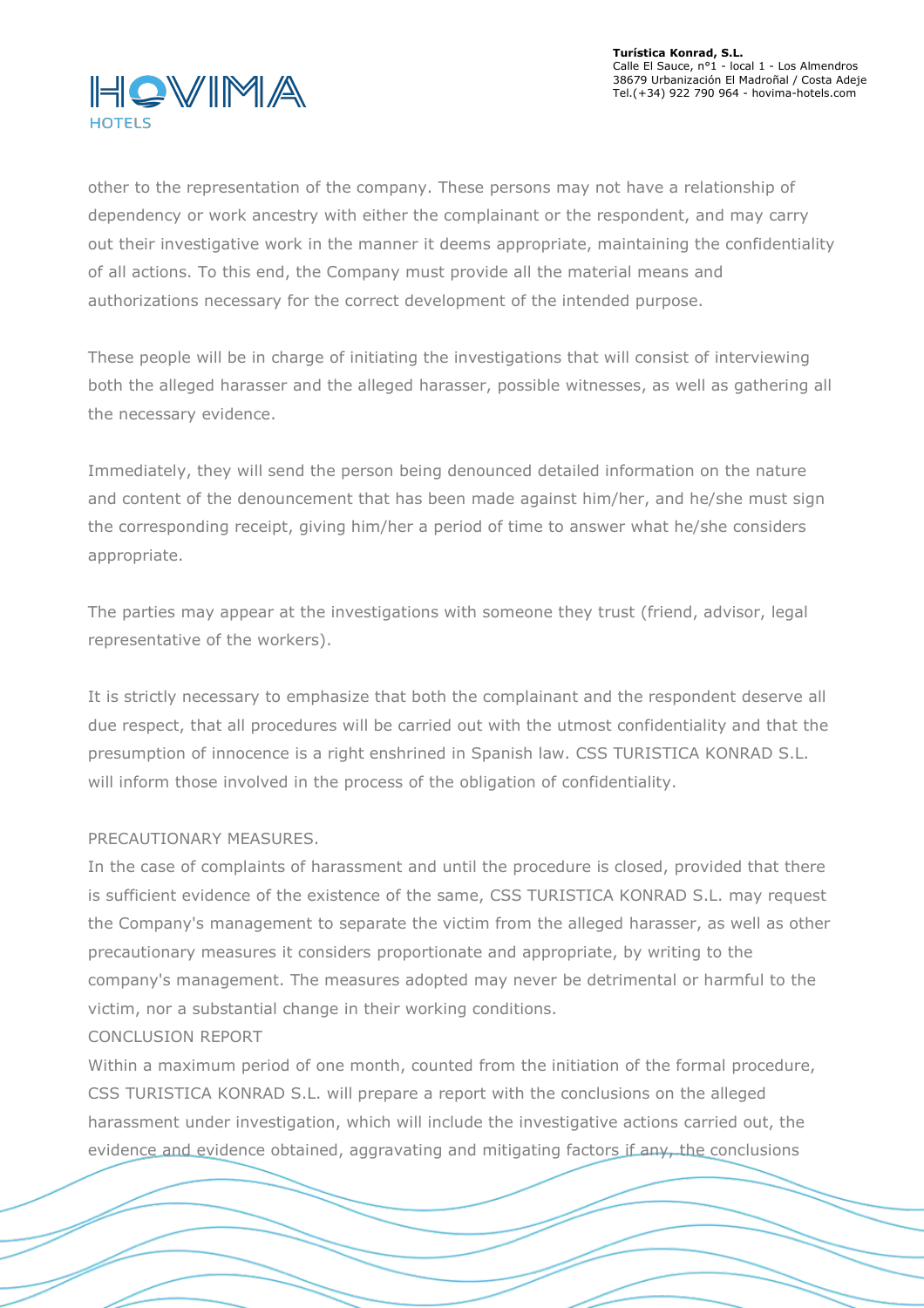

other to the representation of the company. These persons may not have a relationship of dependency or work ancestry with either the complainant or the respondent, and may carry out their investigative work in the manner it deems appropriate, maintaining the confidentiality of all actions. To this end, the Company must provide all the material means and authorizations necessary for the correct development of the intended purpose.

These people will be in charge of initiating the investigations thatwill consist of interviewing both the alleged harasser and the alleged harasser, possible witnesses, as well as gathering all the necessary evidence.

Immediately, they will send the person being denounced detailed information on the nature and content of the denouncement that has been made against him/her, and he/she must sign the corresponding receipt, giving him/her a period of time to answer what he/she considers appropriate.

The parties may appear at the investigations with someone they trust (friend, advisor, legal representative of the workers).

It is strictly necessary to emphasize that both the complainant and the respondent deserve all due respect, that all procedures will be carried out with the utmost confidentiality and that the presumption of innocence is a right enshrined in Spanish law. CSS TURISTICA KONRAD S.L. will inform those involved in the process of the obligation of confidentiality.

# PRECAUTIONARY MEASURES.

In the case of complaints of harassment and until the procedure is closed, provided that there is sufficient evidence of the existence of the same, CSS TURISTICA KONRAD S.L. may request the Company's management to separate the victim from the alleged harasser, as well as other precautionary measures it considers proportionate and appropriate, by writing to the company's management. The measures adopted may neverbe detrimental or harmful to the victim, nor a substantial change in their working conditions.

## CONCLUSION REPORT

Within a maximum period of one month, counted from the initiation of the formal procedure, CSS TURISTICA KONRAD S.L. will prepare a report with the conclusions on the alleged harassment under investigation, which will include the investigative actions carried out, the evidence and evidence obtained, aggravating and mitigating factors if any, the conclusions